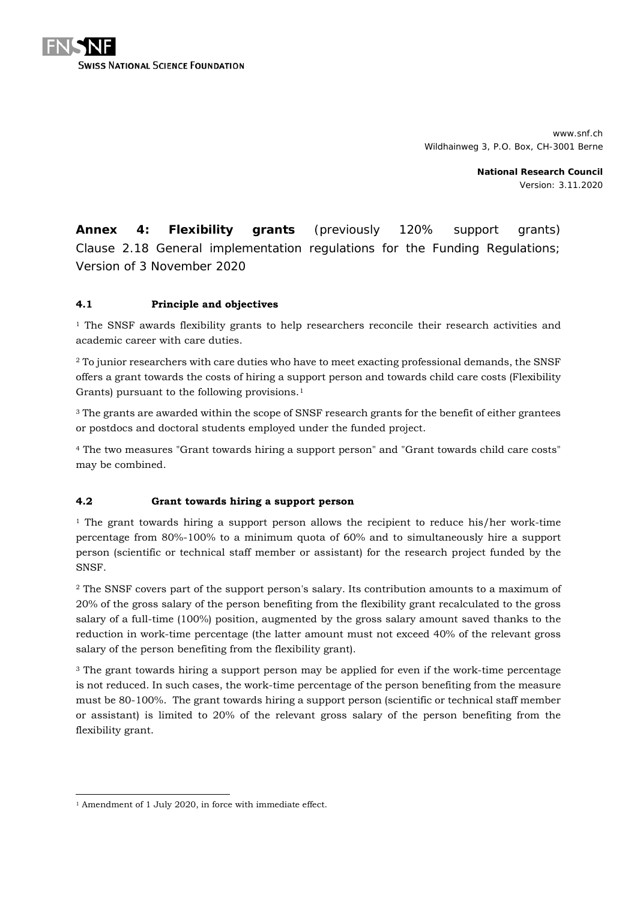

www.snf.ch Wildhainweg 3, P.O. Box, CH-3001 Berne

> **National Research Council** Version: 3.11.2020

**Annex 4: Flexibility grants** (previously 120% support grants) Clause 2.18 General implementation regulations for the Funding Regulations; Version of 3 November 2020

## **4.1 Principle and objectives**

<sup>1</sup> The SNSF awards flexibility grants to help researchers reconcile their research activities and academic career with care duties.

<sup>2</sup> To junior researchers with care duties who have to meet exacting professional demands, the SNSF offers a grant towards the costs of hiring a support person and towards child care costs (Flexibility Grants) pursuant to the following provisions.<sup>[1](#page-0-0)</sup>

<sup>3</sup> The grants are awarded within the scope of SNSF research grants for the benefit of either grantees or postdocs and doctoral students employed under the funded project.

<sup>4</sup> The two measures "Grant towards hiring a support person" and "Grant towards child care costs" may be combined.

### **4.2 Grant towards hiring a support person**

 $1$  The grant towards hiring a support person allows the recipient to reduce his/her work-time percentage from 80%-100% to a minimum quota of 60% and to simultaneously hire a support person (scientific or technical staff member or assistant) for the research project funded by the SNSF.

<sup>2</sup> The SNSF covers part of the support person's salary. Its contribution amounts to a maximum of 20% of the gross salary of the person benefiting from the flexibility grant recalculated to the gross salary of a full-time (100%) position, augmented by the gross salary amount saved thanks to the reduction in work-time percentage (the latter amount must not exceed 40% of the relevant gross salary of the person benefiting from the flexibility grant).

<sup>3</sup> The grant towards hiring a support person may be applied for even if the work-time percentage is not reduced. In such cases, the work-time percentage of the person benefiting from the measure must be 80-100%. The grant towards hiring a support person (scientific or technical staff member or assistant) is limited to 20% of the relevant gross salary of the person benefiting from the flexibility grant.

<span id="page-0-0"></span><sup>-</sup><sup>1</sup> Amendment of 1 July 2020, in force with immediate effect.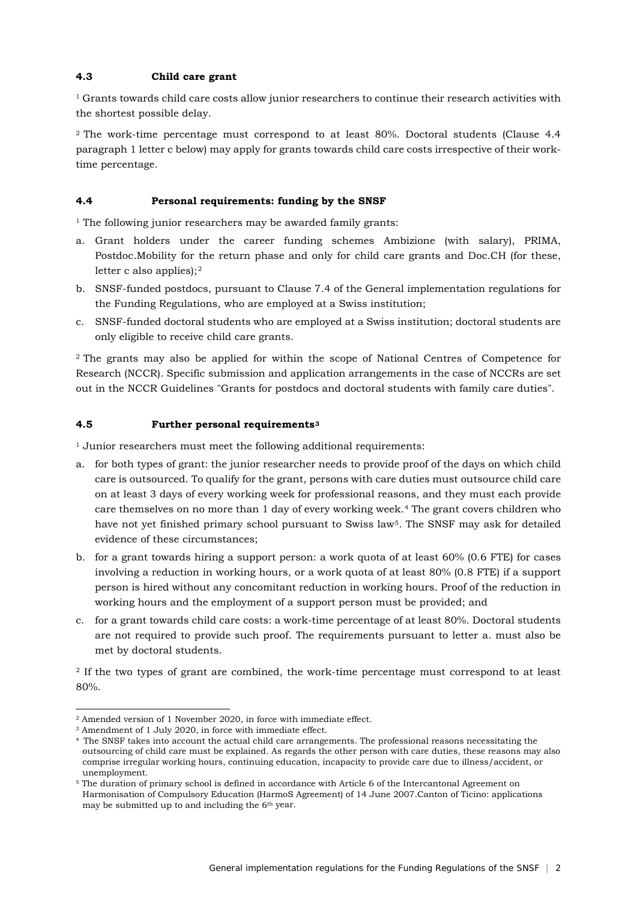### **4.3 Child care grant**

 $1$  Grants towards child care costs allow junior researchers to continue their research activities with the shortest possible delay.

2 The work-time percentage must correspond to at least 80%. Doctoral students (Clause 4.4 paragraph 1 letter c below) may apply for grants towards child care costs irrespective of their worktime percentage.

#### **4.4 Personal requirements: funding by the SNSF**

 $^{\rm 1}$  The following junior researchers may be awarded family grants:

- a. Grant holders under the career funding schemes Ambizione (with salary), PRIMA, Postdoc.Mobility for the return phase and only for child care grants and Doc.CH (for these, letter c also applies);[2](#page-1-0)
- b. SNSF-funded postdocs, pursuant to Clause 7.4 of the General implementation regulations for the Funding Regulations, who are employed at a Swiss institution;
- c. SNSF-funded doctoral students who are employed at a Swiss institution; doctoral students are only eligible to receive child care grants.

2 The grants may also be applied for within the scope of National Centres of Competence for Research (NCCR). Specific submission and application arrangements in the case of NCCRs are set out in the NCCR Guidelines "Grants for postdocs and doctoral students with family care duties".

#### **4.5 Further personal requirements[3](#page-1-1)**

<sup>1</sup> Junior researchers must meet the following additional requirements:

- a. for both types of grant: the junior researcher needs to provide proof of the days on which child care is outsourced. To qualify for the grant, persons with care duties must outsource child care on at least 3 days of every working week for professional reasons, and they must each provide care themselves on no more than 1 day of every working week.[4](#page-1-2) The grant covers children who have not yet finished primary school pursuant to Swiss law[5.](#page-1-3) The SNSF may ask for detailed evidence of these circumstances;
- b. for a grant towards hiring a support person: a work quota of at least 60% (0.6 FTE) for cases involving a reduction in working hours, or a work quota of at least 80% (0.8 FTE) if a support person is hired without any concomitant reduction in working hours. Proof of the reduction in working hours and the employment of a support person must be provided; and
- c. for a grant towards child care costs: a work-time percentage of at least 80%. Doctoral students are not required to provide such proof. The requirements pursuant to letter a. must also be met by doctoral students.

<sup>2</sup> If the two types of grant are combined, the work-time percentage must correspond to at least 80%.

-

<span id="page-1-0"></span><sup>2</sup> Amended version of 1 November 2020, in force with immediate effect.

<span id="page-1-1"></span><sup>3</sup> Amendment of 1 July 2020, in force with immediate effect.

<span id="page-1-2"></span><sup>4</sup> The SNSF takes into account the actual child care arrangements. The professional reasons necessitating the outsourcing of child care must be explained. As regards the other person with care duties, these reasons may also comprise irregular working hours, continuing education, incapacity to provide care due to illness/accident, or unemployment.

<span id="page-1-3"></span><sup>5</sup> The duration of primary school is defined in accordance with Article 6 of the Intercantonal Agreement on Harmonisation of Compulsory Education (HarmoS Agreement) of 14 June 2007.Canton of Ticino: applications may be submitted up to and including the 6<sup>th</sup> year.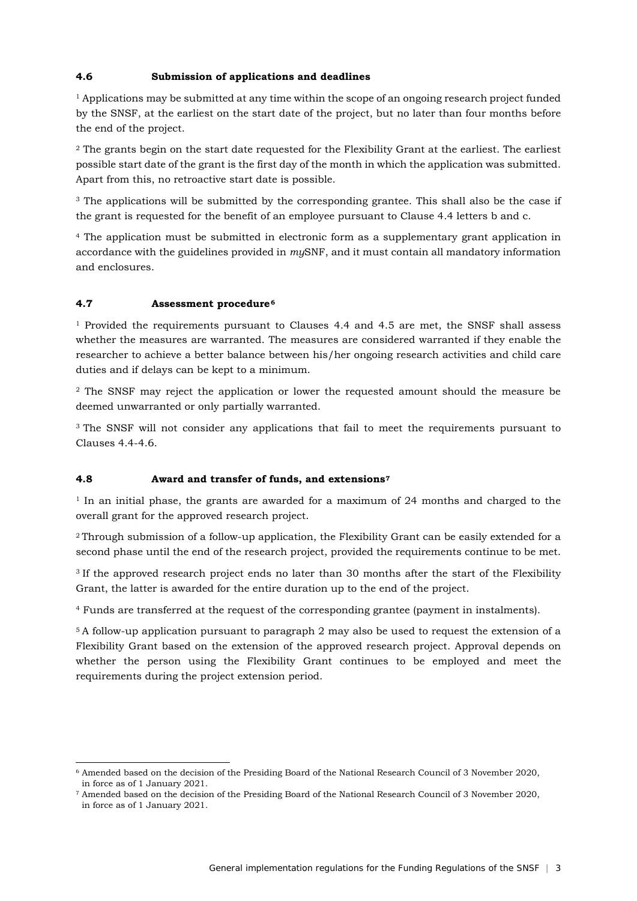## **4.6 Submission of applications and deadlines**

<sup>1</sup> Applications may be submitted at any time within the scope of an ongoing research project funded by the SNSF, at the earliest on the start date of the project, but no later than four months before the end of the project.

<sup>2</sup> The grants begin on the start date requested for the Flexibility Grant at the earliest. The earliest possible start date of the grant is the first day of the month in which the application was submitted. Apart from this, no retroactive start date is possible.

<sup>3</sup> The applications will be submitted by the corresponding grantee. This shall also be the case if the grant is requested for the benefit of an employee pursuant to Clause 4.4 letters b and c.

<sup>4</sup> The application must be submitted in electronic form as a supplementary grant application in accordance with the guidelines provided in *my*SNF, and it must contain all mandatory information and enclosures.

#### **4.7 Assessment procedure[6](#page-2-0)**

-

<sup>1</sup> Provided the requirements pursuant to Clauses 4.4 and 4.5 are met, the SNSF shall assess whether the measures are warranted. The measures are considered warranted if they enable the researcher to achieve a better balance between his/her ongoing research activities and child care duties and if delays can be kept to a minimum.

<sup>2</sup> The SNSF may reject the application or lower the requested amount should the measure be deemed unwarranted or only partially warranted.

<sup>3</sup> The SNSF will not consider any applications that fail to meet the requirements pursuant to  $Cl$ auses  $4.4-4.6$ .

### **4.8 Award and transfer of funds, and extensions[7](#page-2-1)**

<sup>1</sup> In an initial phase, the grants are awarded for a maximum of 24 months and charged to the overall grant for the approved research project.

2 Through submission of a follow-up application, the Flexibility Grant can be easily extended for a second phase until the end of the research project, provided the requirements continue to be met.

<sup>3</sup> If the approved research project ends no later than 30 months after the start of the Flexibility Grant, the latter is awarded for the entire duration up to the end of the project.

<sup>4</sup> Funds are transferred at the request of the corresponding grantee (payment in instalments).

5 A follow-up application pursuant to paragraph 2 may also be used to request the extension of a Flexibility Grant based on the extension of the approved research project. Approval depends on whether the person using the Flexibility Grant continues to be employed and meet the requirements during the project extension period.

<span id="page-2-0"></span><sup>6</sup> Amended based on the decision of the Presiding Board of the National Research Council of 3 November 2020, in force as of 1 January 2021.

<span id="page-2-1"></span><sup>7</sup> Amended based on the decision of the Presiding Board of the National Research Council of 3 November 2020, in force as of 1 January 2021.